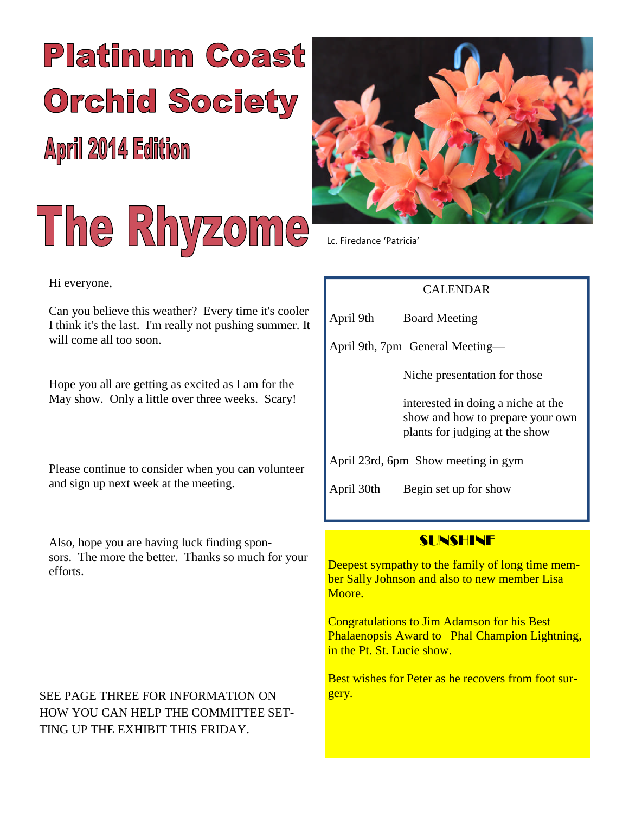# **Platinum Coast Orchid Society**

**April 2014 Edition** 





Lc. Firedance 'Patricia'

## CALENDAR

April 9th Board Meeting

April 9th, 7pm General Meeting—

Niche presentation for those

interested in doing a niche at the show and how to prepare your own plants for judging at the show

April 23rd, 6pm Show meeting in gym

April 30th Begin set up for show

## SUNSHINE

Deepest sympathy to the family of long time member Sally Johnson and also to new member Lisa Moore.

Congratulations to Jim Adamson for his Best Phalaenopsis Award to Phal Champion Lightning, in the Pt. St. Lucie show.

Best wishes for Peter as he recovers from foot surgery.

#### Hi everyone,

Can you believe this weather? Every time it's cooler I think it's the last. I'm really not pushing summer. It will come all too soon.

Hope you all are getting as excited as I am for the May show. Only a little over three weeks. Scary!

Please continue to consider when you can volunteer and sign up next week at the meeting.

Also, hope you are having luck finding sponsors. The more the better. Thanks so much for your efforts.

SEE PAGE THREE FOR INFORMATION ON HOW YOU CAN HELP THE COMMITTEE SET-TING UP THE EXHIBIT THIS FRIDAY.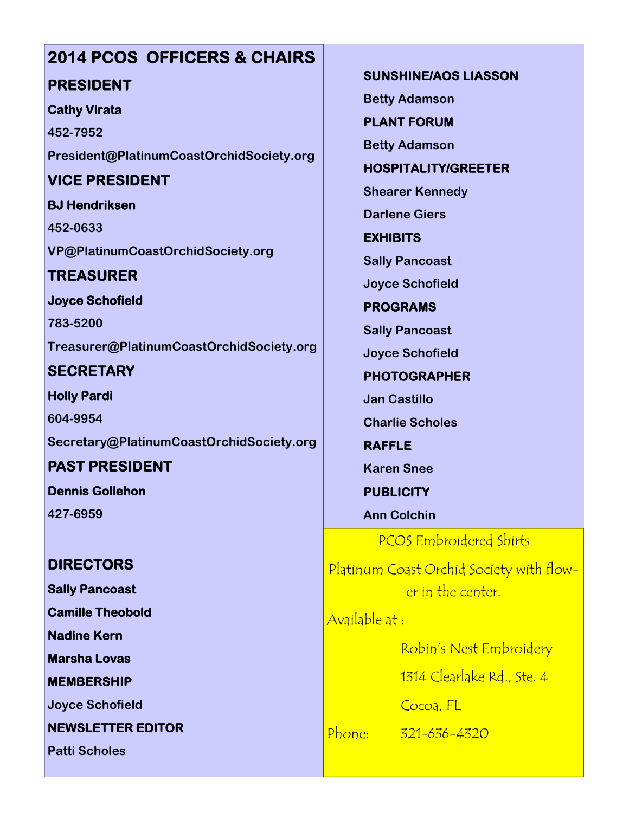## **2014 PCOS OFFICERS & CHAIRS PRESIDENT**

## **Cathy Virata**

**452-7952 President@PlatinumCoastOrchidSociety.org**

## **VICE PRESIDENT**

**BJ Hendriksen 452-0633 VP@PlatinumCoastOrchidSociety.org**

## **TREASURER**

**Joyce Schofield**

**783-5200 Treasurer@PlatinumCoastOrchidSociety.org**

**SECRETARY**

**Holly Pardi 604-9954 Secretary@PlatinumCoastOrchidSociety.org**

**PAST PRESIDENT Dennis Gollehon**

**427-6959**

## **DIRECTORS**

**Sally Pancoast**

**Camille Theobold**

**Nadine Kern**

**Marsha Lovas**

**MEMBERSHIP**

**Joyce Schofield**

**NEWSLETTER EDITOR**

**Patti Scholes**

**SUNSHINE/AOS LIASSON Betty Adamson**

**PLANT FORUM**

**Betty Adamson**

**HOSPITALITY/GREETER**

**Shearer Kennedy**

**Darlene Giers**

**EXHIBITS**

**Sally Pancoast**

**Joyce Schofield**

**PROGRAMS**

**Sally Pancoast**

**Joyce Schofield**

**PHOTOGRAPHER**

**Jan Castillo**

**Charlie Scholes**

**RAFFLE Karen Snee**

**PUBLICITY**

**Ann Colchin**

PCOS Embroidered Shirts

Platinum Coast Orchid Society with flower in the center.

Available at :

Robin's Nest Embroidery

1314 Clearlake Rd., Ste. 4

Cocoa, FL

Phone: 321-636-4320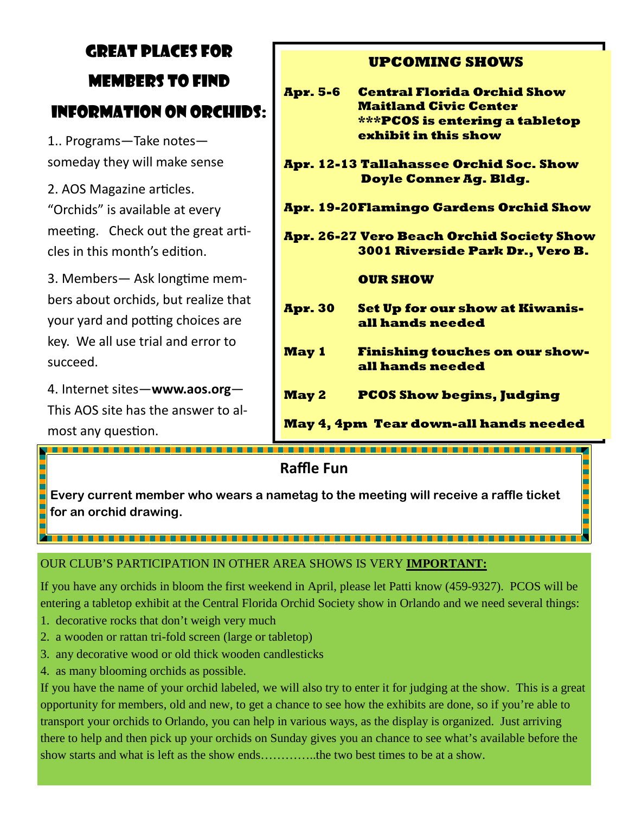# GREAT PLACES FOR MEMBERS TO FIND INFORMATION ON ORCHIDS:

1.. Programs—Take notes someday they will make sense

2. AOS Magazine articles. "Orchids" is available at every meeting. Check out the great articles in this month's edition.

3. Members— Ask longtime members about orchids, but realize that your yard and potting choices are key. We all use trial and error to succeed.

4. Internet sites—**www.aos.org**— This AOS site has the answer to almost any question.

Е

<u>TE E E CELE E ELE ELECTRICIA DE ELECTRICIA EL</u>

## **UPCOMING SHOWS**

| <b>Apr. 5-6</b>                              | <b>Central Florida Orchid Show</b><br><b>Maitland Civic Center</b><br>***PCOS is entering a tabletop<br>exhibit in this show |
|----------------------------------------------|------------------------------------------------------------------------------------------------------------------------------|
|                                              | Apr. 12-13 Tallahassee Orchid Soc. Show<br><b>Doyle Conner Ag. Bldg.</b>                                                     |
| Apr. 19-20Flamingo Gardens Orchid Show       |                                                                                                                              |
|                                              | Apr. 26-27 Vero Beach Orchid Society Show<br><b>3001 Riverside Park Dr., Vero B.</b>                                         |
|                                              | <b>OUR SHOW</b>                                                                                                              |
| <b>Apr. 30</b>                               | <b>Set Up for our show at Kiwanis-</b><br>all hands needed                                                                   |
| <b>May 1</b>                                 | <b>Finishing touches on our show-</b><br>all hands needed                                                                    |
| <b>May 2</b>                                 | <b>PCOS Show begins, Judging</b>                                                                                             |
| <b>May 4, 4pm Tear down-all hands needed</b> |                                                                                                                              |

**Raffle Fun**

**Every current member who wears a nametag to the meeting will receive a raffle ticket for an orchid drawing.**

## OUR CLUB'S PARTICIPATION IN OTHER AREA SHOWS IS VERY **IMPORTANT:**

If you have any orchids in bloom the first weekend in April, please let Patti know (459-9327). PCOS will be entering a tabletop exhibit at the Central Florida Orchid Society show in Orlando and we need several things:

- 1. decorative rocks that don't weigh very much
- 2. a wooden or rattan tri-fold screen (large or tabletop)
- 3. any decorative wood or old thick wooden candlesticks
- 4. as many blooming orchids as possible.

If you have the name of your orchid labeled, we will also try to enter it for judging at the show. This is a great opportunity for members, old and new, to get a chance to see how the exhibits are done, so if you're able to transport your orchids to Orlando, you can help in various ways, as the display is organized. Just arriving there to help and then pick up your orchids on Sunday gives you an chance to see what's available before the show starts and what is left as the show ends…………..the two best times to be at a show.